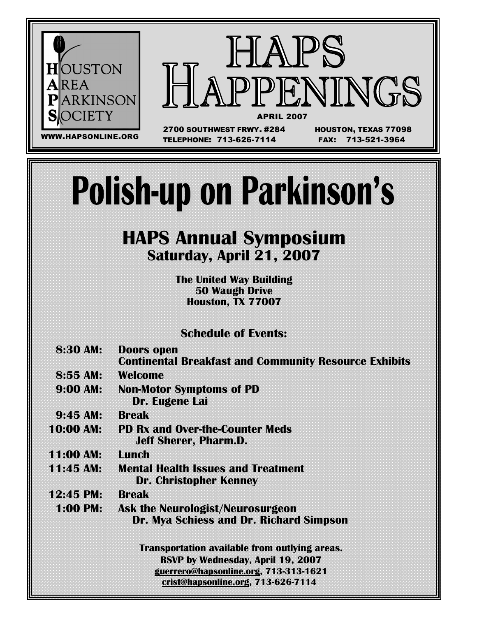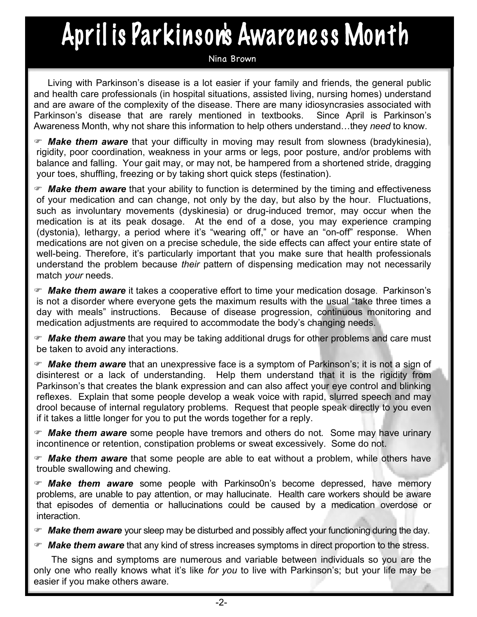## April is Parkinson's Awareness Month

#### Nina Brown

Living with Parkinson's disease is a lot easier if your family and friends, the general public and health care professionals (in hospital situations, assisted living, nursing homes) understand and are aware of the complexity of the disease. There are many idiosyncrasies associated with Parkinson's disease that are rarely mentioned in textbooks. Since April is Parkinson's Awareness Month, why not share this information to help others understand…they *need* to know.

 *Make them aware* that your difficulty in moving may result from slowness (bradykinesia), rigidity, poor coordination, weakness in your arms or legs, poor posture, and/or problems with balance and falling. Your gait may, or may not, be hampered from a shortened stride, dragging your toes, shuffling, freezing or by taking short quick steps (festination).

 *Make them aware* that your ability to function is determined by the timing and effectiveness of your medication and can change, not only by the day, but also by the hour. Fluctuations, such as involuntary movements (dyskinesia) or drug-induced tremor, may occur when the medication is at its peak dosage. At the end of a dose, you may experience cramping (dystonia), lethargy, a period where it's "wearing off," or have an "on-off" response. When medications are not given on a precise schedule, the side effects can affect your entire state of well-being. Therefore, it's particularly important that you make sure that health professionals understand the problem because *their* pattern of dispensing medication may not necessarily match *your* needs.

 *Make them aware* it takes a cooperative effort to time your medication dosage. Parkinson's is not a disorder where everyone gets the maximum results with the usual "take three times a day with meals" instructions. Because of disease progression, continuous monitoring and medication adjustments are required to accommodate the body's changing needs.

 *Make them aware* that you may be taking additional drugs for other problems and care must be taken to avoid any interactions.

 *Make them aware* that an unexpressive face is a symptom of Parkinson's; it is not a sign of disinterest or a lack of understanding. Help them understand that it is the rigidity from Parkinson's that creates the blank expression and can also affect your eye control and blinking reflexes. Explain that some people develop a weak voice with rapid, slurred speech and may drool because of internal regulatory problems. Request that people speak directly to you even if it takes a little longer for you to put the words together for a reply.

 *Make them aware* some people have tremors and others do not. Some may have urinary incontinence or retention, constipation problems or sweat excessively. Some do not.

 *Make them aware* that some people are able to eat without a problem, while others have trouble swallowing and chewing.

 *Make them aware* some people with Parkinso0n's become depressed, have memory problems, are unable to pay attention, or may hallucinate. Health care workers should be aware that episodes of dementia or hallucinations could be caused by a medication overdose or interaction.

*Make them aware* your sleep may be disturbed and possibly affect your functioning during the day.

*Make them aware* that any kind of stress increases symptoms in direct proportion to the stress.

The signs and symptoms are numerous and variable between individuals so you are the only one who really knows what it's like *for you* to live with Parkinson's; but your life may be easier if you make others aware.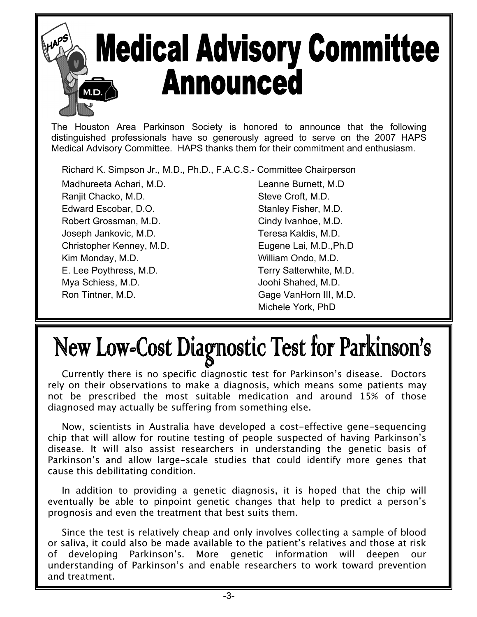# **Medical Advisory Committee Announced**

The Houston Area Parkinson Society is honored to announce that the following distinguished professionals have so generously agreed to serve on the 2007 HAPS Medical Advisory Committee. HAPS thanks them for their commitment and enthusiasm.

Richard K. Simpson Jr., M.D., Ph.D., F.A.C.S.- Committee Chairperson

Madhureeta Achari, M.D. Leanne Burnett, M.D Ranjit Chacko, M.D. Steve Croft, M.D. Edward Escobar, D.O. Stanley Fisher, M.D. Robert Grossman, M.D. Cindy Ivanhoe, M.D. Joseph Jankovic, M.D. Teresa Kaldis, M.D. Christopher Kenney, M.D. Eugene Lai, M.D.,Ph.D Kim Monday, M.D. **William Ondo, M.D.** E. Lee Poythress, M.D. Terry Satterwhite, M.D. Mya Schiess, M.D. Sand Controller and Muslim Joohi Shahed, M.D. Ron Tintner, M.D. Gage VanHorn III, M.D.

Michele York, PhD

## New Low-Cost Diagnostic Test for Parkinson's

Currently there is no specific diagnostic test for Parkinson's disease. Doctors rely on their observations to make a diagnosis, which means some patients may not be prescribed the most suitable medication and around 15% of those diagnosed may actually be suffering from something else.

Now, scientists in Australia have developed a cost-effective gene-sequencing chip that will allow for routine testing of people suspected of having Parkinson's disease. It will also assist researchers in understanding the genetic basis of Parkinson's and allow large-scale studies that could identify more genes that cause this debilitating condition.

In addition to providing a genetic diagnosis, it is hoped that the chip will eventually be able to pinpoint genetic changes that help to predict a person's prognosis and even the treatment that best suits them.

Since the test is relatively cheap and only involves collecting a sample of blood or saliva, it could also be made available to the patient's relatives and those at risk of developing Parkinson's. More genetic information will deepen our understanding of Parkinson's and enable researchers to work toward prevention and treatment.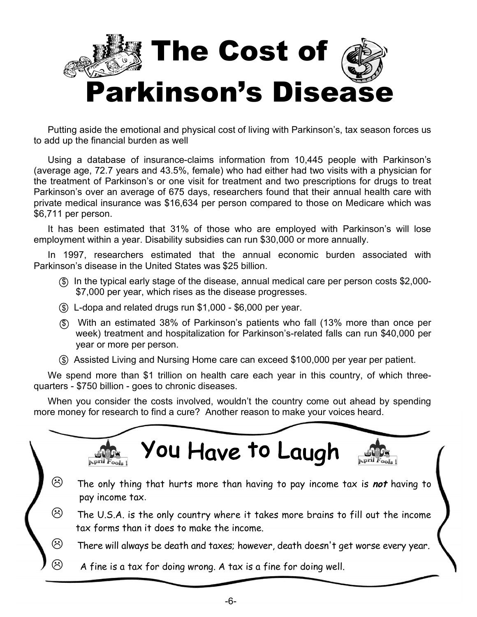

Putting aside the emotional and physical cost of living with Parkinson's, tax season forces us to add up the financial burden as well

Using a database of insurance-claims information from 10,445 people with Parkinson's (average age, 72.7 years and 43.5%, female) who had either had two visits with a physician for the treatment of Parkinson's or one visit for treatment and two prescriptions for drugs to treat Parkinson's over an average of 675 days, researchers found that their annual health care with private medical insurance was \$16,634 per person compared to those on Medicare which was \$6,711 per person.

It has been estimated that 31% of those who are employed with Parkinson's will lose employment within a year. Disability subsidies can run \$30,000 or more annually.

In 1997, researchers estimated that the annual economic burden associated with Parkinson's disease in the United States was \$25 billion.

- \$ In the typical early stage of the disease, annual medical care per person costs \$2,000- \$7,000 per year, which rises as the disease progresses.
- $$$  L-dopa and related drugs run \$1,000 \$6,000 per year.
- \$ With an estimated 38% of Parkinson's patients who fall (13% more than once per week) treatment and hospitalization for Parkinson's-related falls can run \$40,000 per year or more per person.
- $\circled$  Assisted Living and Nursing Home care can exceed \$100,000 per year per patient.

We spend more than \$1 trillion on health care each year in this country, of which threequarters - \$750 billion - goes to chronic diseases.

When you consider the costs involved, wouldn't the country come out ahead by spending more money for research to find a cure? Another reason to make your voices heard.

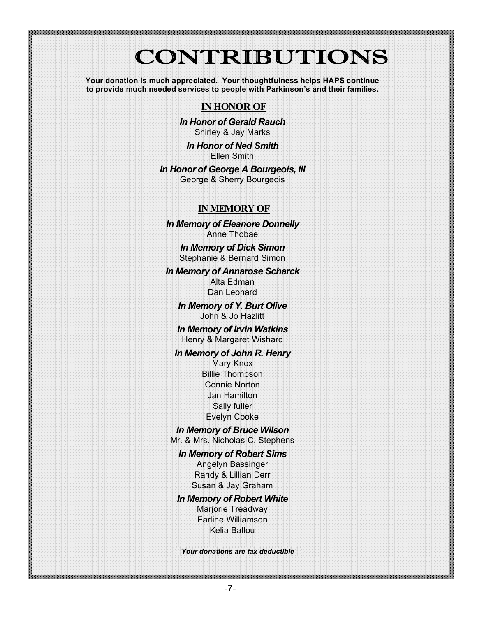### **CONTRIBUTIONS**

**Your donation is much appreciated. Your thoughtfulness helps HAPS continue to provide much needed services to people with Parkinson's and their families.**

#### **IN HONOR OF**

*In Honor of Gerald Rauch* Shirley & Jay Marks

*In Honor of Ned Smith* Ellen Smith

*In Honor of George A Bourgeois, III* George & Sherry Bourgeois

#### **INMEMORY OF**

*In Memory of Eleanore Donnelly* Anne Thobae

> *In Memory of Dick Simon* Stephanie & Bernard Simon

*In Memory of Annarose Scharck* Alta Edman Dan Leonard

*In Memory of Y. Burt Olive* John & Jo Hazlitt

*In Memory of Irvin Watkins* Henry & Margaret Wishard

*In Memory of John R. Henry* Mary Knox Billie Thompson Connie Norton Jan Hamilton Sally fuller Evelyn Cooke

*In Memory of Bruce Wilson*

Mr. & Mrs. Nicholas C. Stephens

*In Memory of Robert Sims* Angelyn Bassinger Randy & Lillian Derr Susan & Jay Graham

#### *In Memory of Robert White*

Marjorie Treadway Earline Williamson Kelia Ballou

*Your donations are tax deductible*